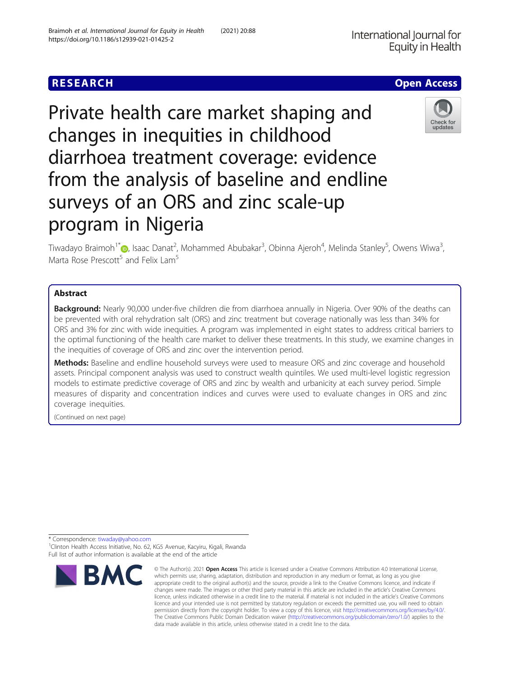# Private health care market shaping and changes in inequities in childhood diarrhoea treatment coverage: evidence from the analysis of baseline and endline surveys of an ORS and zinc scale-up program in Nigeria

Tiwadayo Braimoh<sup>1\*</sup>�[,](http://orcid.org/0000-0002-8791-4416) Isaac Danat<sup>2</sup>, Mohammed Abubakar<sup>3</sup>, Obinna Ajeroh<sup>4</sup>, Melinda Stanley<sup>5</sup>, Owens Wiwa<sup>3</sup> , Marta Rose Prescott<sup>5</sup> and Felix Lam<sup>5</sup>

### Abstract

Background: Nearly 90,000 under-five children die from diarrhoea annually in Nigeria. Over 90% of the deaths can be prevented with oral rehydration salt (ORS) and zinc treatment but coverage nationally was less than 34% for ORS and 3% for zinc with wide inequities. A program was implemented in eight states to address critical barriers to the optimal functioning of the health care market to deliver these treatments. In this study, we examine changes in the inequities of coverage of ORS and zinc over the intervention period.

**Methods:** Baseline and endline household surveys were used to measure ORS and zinc coverage and household assets. Principal component analysis was used to construct wealth quintiles. We used multi-level logistic regression models to estimate predictive coverage of ORS and zinc by wealth and urbanicity at each survey period. Simple measures of disparity and concentration indices and curves were used to evaluate changes in ORS and zinc coverage inequities.

(Continued on next page)

\* Correspondence: [tiwaday@yahoo.com](mailto:tiwaday@yahoo.com) <sup>1</sup>

<sup>1</sup>Clinton Health Access Initiative, No. 62, KG5 Avenue, Kacyiru, Kigali, Rwanda Full list of author information is available at the end of the article





which permits use, sharing, adaptation, distribution and reproduction in any medium or format, as long as you give appropriate credit to the original author(s) and the source, provide a link to the Creative Commons licence, and indicate if changes were made. The images or other third party material in this article are included in the article's Creative Commons licence, unless indicated otherwise in a credit line to the material. If material is not included in the article's Creative Commons licence and your intended use is not permitted by statutory regulation or exceeds the permitted use, you will need to obtain permission directly from the copyright holder. To view a copy of this licence, visit [http://creativecommons.org/licenses/by/4.0/.](http://creativecommons.org/licenses/by/4.0/) The Creative Commons Public Domain Dedication waiver [\(http://creativecommons.org/publicdomain/zero/1.0/](http://creativecommons.org/publicdomain/zero/1.0/)) applies to the data made available in this article, unless otherwise stated in a credit line to the data.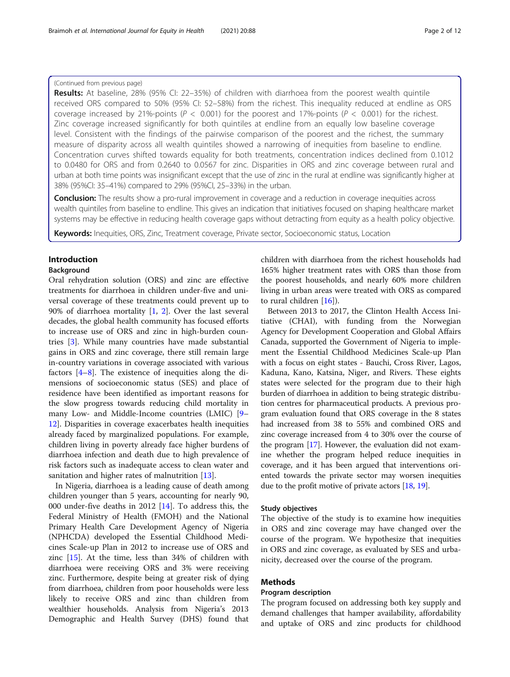### (Continued from previous page)

Results: At baseline, 28% (95% CI: 22-35%) of children with diarrhoea from the poorest wealth quintile received ORS compared to 50% (95% CI: 52–58%) from the richest. This inequality reduced at endline as ORS coverage increased by 21%-points ( $P < 0.001$ ) for the poorest and 17%-points ( $P < 0.001$ ) for the richest. Zinc coverage increased significantly for both quintiles at endline from an equally low baseline coverage level. Consistent with the findings of the pairwise comparison of the poorest and the richest, the summary measure of disparity across all wealth quintiles showed a narrowing of inequities from baseline to endline. Concentration curves shifted towards equality for both treatments, concentration indices declined from 0.1012 to 0.0480 for ORS and from 0.2640 to 0.0567 for zinc. Disparities in ORS and zinc coverage between rural and urban at both time points was insignificant except that the use of zinc in the rural at endline was significantly higher at 38% (95%CI: 35–41%) compared to 29% (95%CI, 25–33%) in the urban.

**Conclusion:** The results show a pro-rural improvement in coverage and a reduction in coverage inequities across wealth quintiles from baseline to endline. This gives an indication that initiatives focused on shaping healthcare market systems may be effective in reducing health coverage gaps without detracting from equity as a health policy objective.

Keywords: Inequities, ORS, Zinc, Treatment coverage, Private sector, Socioeconomic status, Location

## Introduction

### Background

Oral rehydration solution (ORS) and zinc are effective treatments for diarrhoea in children under-five and universal coverage of these treatments could prevent up to 90% of diarrhoea mortality [\[1](#page-10-0), [2\]](#page-10-0). Over the last several decades, the global health community has focused efforts to increase use of ORS and zinc in high-burden countries [\[3](#page-10-0)]. While many countries have made substantial gains in ORS and zinc coverage, there still remain large in-country variations in coverage associated with various factors [[4](#page-10-0)–[8](#page-10-0)]. The existence of inequities along the dimensions of socioeconomic status (SES) and place of residence have been identified as important reasons for the slow progress towards reducing child mortality in many Low- and Middle-Income countries (LMIC) [[9](#page-10-0)– [12\]](#page-10-0). Disparities in coverage exacerbates health inequities already faced by marginalized populations. For example, children living in poverty already face higher burdens of diarrhoea infection and death due to high prevalence of risk factors such as inadequate access to clean water and sanitation and higher rates of malnutrition [\[13](#page-10-0)].

In Nigeria, diarrhoea is a leading cause of death among children younger than 5 years, accounting for nearly 90, 000 under-five deaths in 2012 [[14\]](#page-10-0). To address this, the Federal Ministry of Health (FMOH) and the National Primary Health Care Development Agency of Nigeria (NPHCDA) developed the Essential Childhood Medicines Scale-up Plan in 2012 to increase use of ORS and zinc [\[15\]](#page-10-0). At the time, less than 34% of children with diarrhoea were receiving ORS and 3% were receiving zinc. Furthermore, despite being at greater risk of dying from diarrhoea, children from poor households were less likely to receive ORS and zinc than children from wealthier households. Analysis from Nigeria's 2013 Demographic and Health Survey (DHS) found that children with diarrhoea from the richest households had 165% higher treatment rates with ORS than those from the poorest households, and nearly 60% more children living in urban areas were treated with ORS as compared to rural children [\[16](#page-10-0)]).

Between 2013 to 2017, the Clinton Health Access Initiative (CHAI), with funding from the Norwegian Agency for Development Cooperation and Global Affairs Canada, supported the Government of Nigeria to implement the Essential Childhood Medicines Scale-up Plan with a focus on eight states - Bauchi, Cross River, Lagos, Kaduna, Kano, Katsina, Niger, and Rivers. These eights states were selected for the program due to their high burden of diarrhoea in addition to being strategic distribution centres for pharmaceutical products. A previous program evaluation found that ORS coverage in the 8 states had increased from 38 to 55% and combined ORS and zinc coverage increased from 4 to 30% over the course of the program [\[17\]](#page-10-0). However, the evaluation did not examine whether the program helped reduce inequities in coverage, and it has been argued that interventions oriented towards the private sector may worsen inequities due to the profit motive of private actors [[18,](#page-10-0) [19\]](#page-10-0).

### Study objectives

The objective of the study is to examine how inequities in ORS and zinc coverage may have changed over the course of the program. We hypothesize that inequities in ORS and zinc coverage, as evaluated by SES and urbanicity, decreased over the course of the program.

### Methods

### Program description

The program focused on addressing both key supply and demand challenges that hamper availability, affordability and uptake of ORS and zinc products for childhood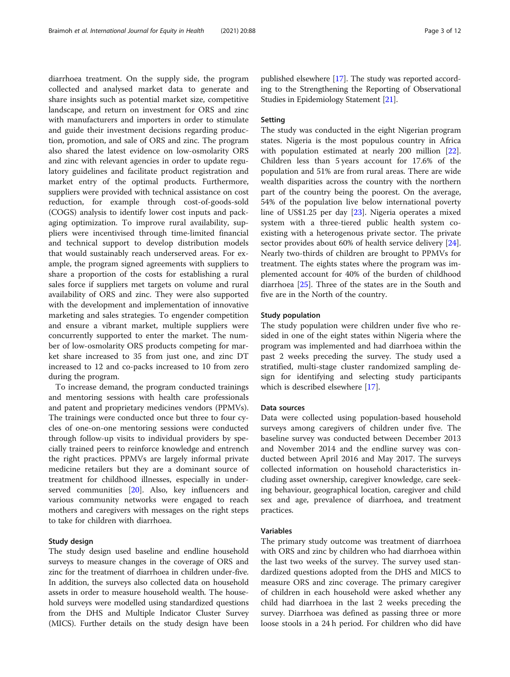diarrhoea treatment. On the supply side, the program collected and analysed market data to generate and share insights such as potential market size, competitive landscape, and return on investment for ORS and zinc with manufacturers and importers in order to stimulate and guide their investment decisions regarding production, promotion, and sale of ORS and zinc. The program also shared the latest evidence on low-osmolarity ORS and zinc with relevant agencies in order to update regulatory guidelines and facilitate product registration and market entry of the optimal products. Furthermore, suppliers were provided with technical assistance on cost reduction, for example through cost-of-goods-sold (COGS) analysis to identify lower cost inputs and packaging optimization. To improve rural availability, suppliers were incentivised through time-limited financial and technical support to develop distribution models that would sustainably reach underserved areas. For example, the program signed agreements with suppliers to share a proportion of the costs for establishing a rural sales force if suppliers met targets on volume and rural availability of ORS and zinc. They were also supported with the development and implementation of innovative marketing and sales strategies. To engender competition and ensure a vibrant market, multiple suppliers were concurrently supported to enter the market. The number of low-osmolarity ORS products competing for market share increased to 35 from just one, and zinc DT increased to 12 and co-packs increased to 10 from zero during the program.

To increase demand, the program conducted trainings and mentoring sessions with health care professionals and patent and proprietary medicines vendors (PPMVs). The trainings were conducted once but three to four cycles of one-on-one mentoring sessions were conducted through follow-up visits to individual providers by specially trained peers to reinforce knowledge and entrench the right practices. PPMVs are largely informal private medicine retailers but they are a dominant source of treatment for childhood illnesses, especially in underserved communities [\[20\]](#page-10-0). Also, key influencers and various community networks were engaged to reach mothers and caregivers with messages on the right steps to take for children with diarrhoea.

### Study design

The study design used baseline and endline household surveys to measure changes in the coverage of ORS and zinc for the treatment of diarrhoea in children under-five. In addition, the surveys also collected data on household assets in order to measure household wealth. The household surveys were modelled using standardized questions from the DHS and Multiple Indicator Cluster Survey (MICS). Further details on the study design have been

published elsewhere [[17](#page-10-0)]. The study was reported according to the Strengthening the Reporting of Observational Studies in Epidemiology Statement [\[21\]](#page-10-0).

### Setting

The study was conducted in the eight Nigerian program states. Nigeria is the most populous country in Africa with population estimated at nearly 200 million [\[22](#page-10-0)]. Children less than 5 years account for 17.6% of the population and 51% are from rural areas. There are wide wealth disparities across the country with the northern part of the country being the poorest. On the average, 54% of the population live below international poverty line of US\$1.25 per day [\[23\]](#page-10-0). Nigeria operates a mixed system with a three-tiered public health system coexisting with a heterogenous private sector. The private sector provides about 60% of health service delivery [\[24](#page-10-0)]. Nearly two-thirds of children are brought to PPMVs for treatment. The eights states where the program was implemented account for 40% of the burden of childhood diarrhoea [\[25](#page-10-0)]. Three of the states are in the South and five are in the North of the country.

### Study population

The study population were children under five who resided in one of the eight states within Nigeria where the program was implemented and had diarrhoea within the past 2 weeks preceding the survey. The study used a stratified, multi-stage cluster randomized sampling design for identifying and selecting study participants which is described elsewhere [[17\]](#page-10-0).

### Data sources

Data were collected using population-based household surveys among caregivers of children under five. The baseline survey was conducted between December 2013 and November 2014 and the endline survey was conducted between April 2016 and May 2017. The surveys collected information on household characteristics including asset ownership, caregiver knowledge, care seeking behaviour, geographical location, caregiver and child sex and age, prevalence of diarrhoea, and treatment practices.

### Variables

The primary study outcome was treatment of diarrhoea with ORS and zinc by children who had diarrhoea within the last two weeks of the survey. The survey used standardized questions adopted from the DHS and MICS to measure ORS and zinc coverage. The primary caregiver of children in each household were asked whether any child had diarrhoea in the last 2 weeks preceding the survey. Diarrhoea was defined as passing three or more loose stools in a 24 h period. For children who did have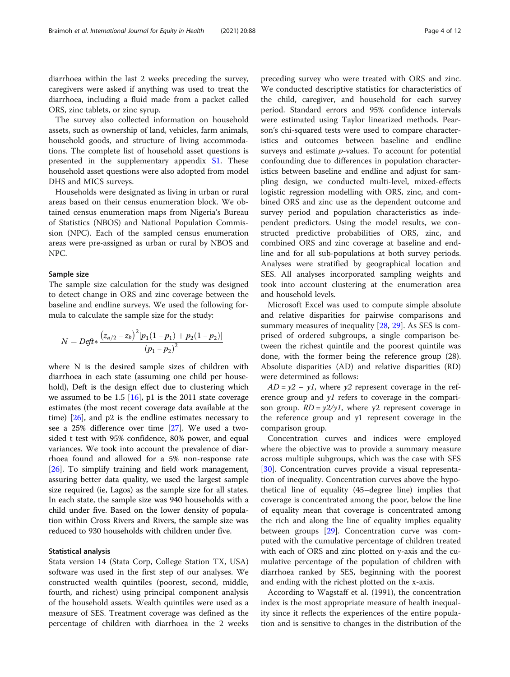diarrhoea within the last 2 weeks preceding the survey, caregivers were asked if anything was used to treat the diarrhoea, including a fluid made from a packet called ORS, zinc tablets, or zinc syrup.

The survey also collected information on household assets, such as ownership of land, vehicles, farm animals, household goods, and structure of living accommodations. The complete list of household asset questions is presented in the supplementary appendix [S1](#page-9-0). These household asset questions were also adopted from model DHS and MICS surveys.

Households were designated as living in urban or rural areas based on their census enumeration block. We obtained census enumeration maps from Nigeria's Bureau of Statistics (NBOS) and National Population Commission (NPC). Each of the sampled census enumeration areas were pre-assigned as urban or rural by NBOS and NPC.

### Sample size

The sample size calculation for the study was designed to detect change in ORS and zinc coverage between the baseline and endline surveys. We used the following formula to calculate the sample size for the study:

$$
N = Deft * \frac{(z_{a/2} - z_b)^2 [p_1(1 - p_1) + p_2(1 - p_2)]}{(p_1 - p_2)^2}
$$

where N is the desired sample sizes of children with diarrhoea in each state (assuming one child per household), Deft is the design effect due to clustering which we assumed to be 1.5  $[16]$  $[16]$ , p1 is the 2011 state coverage estimates (the most recent coverage data available at the time)  $[26]$  $[26]$ , and  $p2$  is the endline estimates necessary to see a 25% difference over time [\[27](#page-10-0)]. We used a twosided t test with 95% confidence, 80% power, and equal variances. We took into account the prevalence of diarrhoea found and allowed for a 5% non-response rate [[26\]](#page-10-0). To simplify training and field work management, assuring better data quality, we used the largest sample size required (ie, Lagos) as the sample size for all states. In each state, the sample size was 940 households with a child under five. Based on the lower density of population within Cross Rivers and Rivers, the sample size was reduced to 930 households with children under five.

### Statistical analysis

Stata version 14 (Stata Corp, College Station TX, USA) software was used in the first step of our analyses. We constructed wealth quintiles (poorest, second, middle, fourth, and richest) using principal component analysis of the household assets. Wealth quintiles were used as a measure of SES. Treatment coverage was defined as the percentage of children with diarrhoea in the 2 weeks

preceding survey who were treated with ORS and zinc. We conducted descriptive statistics for characteristics of the child, caregiver, and household for each survey period. Standard errors and 95% confidence intervals were estimated using Taylor linearized methods. Pearson's chi-squared tests were used to compare characteristics and outcomes between baseline and endline surveys and estimate  $p$ -values. To account for potential confounding due to differences in population characteristics between baseline and endline and adjust for sampling design, we conducted multi-level, mixed-effects logistic regression modelling with ORS, zinc, and combined ORS and zinc use as the dependent outcome and survey period and population characteristics as independent predictors. Using the model results, we constructed predictive probabilities of ORS, zinc, and combined ORS and zinc coverage at baseline and endline and for all sub-populations at both survey periods. Analyses were stratified by geographical location and SES. All analyses incorporated sampling weights and took into account clustering at the enumeration area and household levels.

Microsoft Excel was used to compute simple absolute and relative disparities for pairwise comparisons and summary measures of inequality [\[28](#page-10-0), [29\]](#page-10-0). As SES is comprised of ordered subgroups, a single comparison between the richest quintile and the poorest quintile was done, with the former being the reference group (28). Absolute disparities (AD) and relative disparities (RD) were determined as follows:

 $AD = y2 - y1$ , where y2 represent coverage in the reference group and  $yI$  refers to coverage in the comparison group.  $RD = \gamma/2\gamma/1$ , where  $\gamma/2$  represent coverage in the reference group and y1 represent coverage in the comparison group.

Concentration curves and indices were employed where the objective was to provide a summary measure across multiple subgroups, which was the case with SES [[30\]](#page-10-0). Concentration curves provide a visual representation of inequality. Concentration curves above the hypothetical line of equality (45–degree line) implies that coverage is concentrated among the poor, below the line of equality mean that coverage is concentrated among the rich and along the line of equality implies equality between groups [[29](#page-10-0)]. Concentration curve was computed with the cumulative percentage of children treated with each of ORS and zinc plotted on y-axis and the cumulative percentage of the population of children with diarrhoea ranked by SES, beginning with the poorest and ending with the richest plotted on the x-axis.

According to Wagstaff et al. (1991), the concentration index is the most appropriate measure of health inequality since it reflects the experiences of the entire population and is sensitive to changes in the distribution of the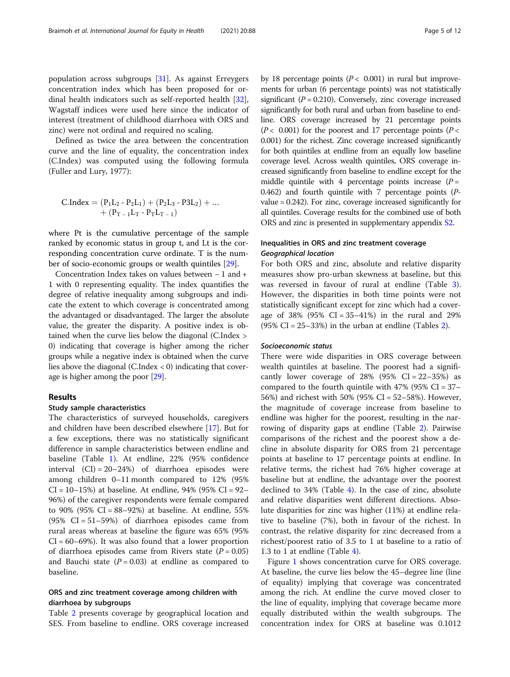zinc) were not ordinal and required no scaling. Defined as twice the area between the concentration curve and the line of equality, the concentration index (C.Index) was computed using the following formula (Fuller and Lury, 1977):

$$
\begin{array}{l}C. Index = (P_1L_2 - P_2L_1) + (P_2L_3 - P3L_2) + ...\\ + (P_{T\,-\,1}L_T - P_TL_{T\,-\,1})\end{array}
$$

where Pt is the cumulative percentage of the sample ranked by economic status in group t, and Lt is the corresponding concentration curve ordinate. T is the number of socio-economic groups or wealth quintiles [\[29\]](#page-10-0).

Concentration Index takes on values between − 1 and + 1 with 0 representing equality. The index quantifies the degree of relative inequality among subgroups and indicate the extent to which coverage is concentrated among the advantaged or disadvantaged. The larger the absolute value, the greater the disparity. A positive index is obtained when the curve lies below the diagonal (C.Index > 0) indicating that coverage is higher among the richer groups while a negative index is obtained when the curve lies above the diagonal (C.Index  $<$  0) indicating that coverage is higher among the poor [\[29\]](#page-10-0).

### Results

### Study sample characteristics

The characteristics of surveyed households, caregivers and children have been described elsewhere [\[17](#page-10-0)]. But for a few exceptions, there was no statistically significant difference in sample characteristics between endline and baseline (Table [1](#page-5-0)). At endline, 22% (95% confidence interval  $(CI) = 20-24%$  of diarrhoea episodes were among children 0–11 month compared to 12% (95%  $CI = 10-15%$ ) at baseline. At endline, 94% (95%  $CI = 92-$ 96%) of the caregiver respondents were female compared to 90% (95% CI = 88–92%) at baseline. At endline, 55%  $(95\% \text{ CI} = 51 - 59\%)$  of diarrhoea episodes came from rural areas whereas at baseline the figure was 65% (95%  $CI = 60-69\%$ ). It was also found that a lower proportion of diarrhoea episodes came from Rivers state  $(P = 0.05)$ and Bauchi state  $(P = 0.03)$  at endline as compared to baseline.

### ORS and zinc treatment coverage among children with diarrhoea by subgroups

Table [2](#page-6-0) presents coverage by geographical location and SES. From baseline to endline. ORS coverage increased

by 18 percentage points ( $P < 0.001$ ) in rural but improvements for urban (6 percentage points) was not statistically significant ( $P = 0.210$ ). Conversely, zinc coverage increased significantly for both rural and urban from baseline to endline. ORS coverage increased by 21 percentage points  $(P< 0.001)$  for the poorest and 17 percentage points  $(P<$ 0.001) for the richest. Zinc coverage increased significantly for both quintiles at endline from an equally low baseline coverage level. Across wealth quintiles, ORS coverage increased significantly from baseline to endline except for the middle quintile with 4 percentage points increase  $(P =$ 0.462) and fourth quintile with 7 percentage points (Pvalue = 0.242). For zinc, coverage increased significantly for all quintiles. Coverage results for the combined use of both ORS and zinc is presented in supplementary appendix [S2.](#page-9-0)

## Inequalities in ORS and zinc treatment coverage

For both ORS and zinc, absolute and relative disparity measures show pro-urban skewness at baseline, but this was reversed in favour of rural at endline (Table [3](#page-7-0)). However, the disparities in both time points were not statistically significant except for zinc which had a coverage of 38%  $(95\% \text{ CI} = 35-41\%)$  in the rural and 29%  $(95\% \text{ CI} = 25-33\%)$  $(95\% \text{ CI} = 25-33\%)$  $(95\% \text{ CI} = 25-33\%)$  in the urban at endline (Tables 2).

### Socioeconomic status

There were wide disparities in ORS coverage between wealth quintiles at baseline. The poorest had a significantly lower coverage of  $28\%$  (95% CI =  $22-35\%$ ) as compared to the fourth quintile with 47% (95%  $CI = 37-$ 56%) and richest with 50% (95% CI = 52–58%). However, the magnitude of coverage increase from baseline to endline was higher for the poorest, resulting in the narrowing of disparity gaps at endline (Table [2\)](#page-6-0). Pairwise comparisons of the richest and the poorest show a decline in absolute disparity for ORS from 21 percentage points at baseline to 17 percentage points at endline. In relative terms, the richest had 76% higher coverage at baseline but at endline, the advantage over the poorest declined to 34% (Table [4\)](#page-7-0). In the case of zinc, absolute and relative disparities went different directions. Absolute disparities for zinc was higher (11%) at endline relative to baseline (7%), both in favour of the richest. In contrast, the relative disparity for zinc decreased from a richest/poorest ratio of 3.5 to 1 at baseline to a ratio of 1.3 to 1 at endline (Table [4](#page-7-0)).

Figure [1](#page-8-0) shows concentration curve for ORS coverage. At baseline, the curve lies below the 45–degree line (line of equality) implying that coverage was concentrated among the rich. At endline the curve moved closer to the line of equality, implying that coverage became more equally distributed within the wealth subgroups. The concentration index for ORS at baseline was 0.1012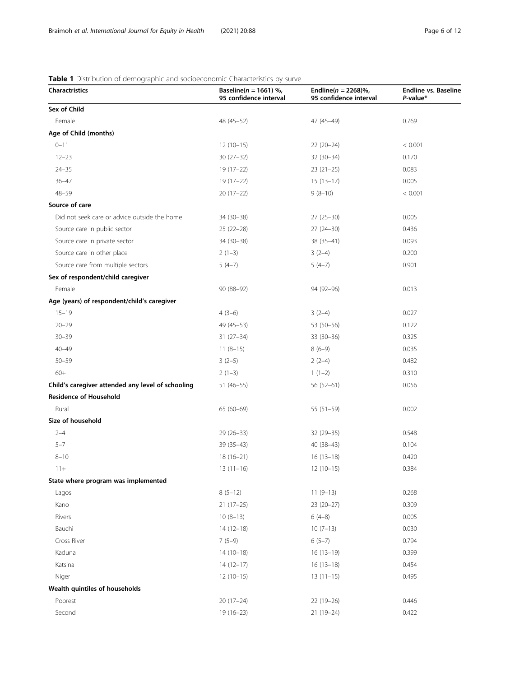### <span id="page-5-0"></span>Table 1 Distribution of demographic and socioeconomic Characteristics by surve

| <b>Charactristics</b>                             | Baseline( $n = 1661$ ) %,<br>95 confidence interval | Endline( $n = 2268$ )%,<br>95 confidence interval | <b>Endline vs. Baseline</b><br>$P$ -value* |
|---------------------------------------------------|-----------------------------------------------------|---------------------------------------------------|--------------------------------------------|
| Sex of Child                                      |                                                     |                                                   |                                            |
| Female                                            | 48 (45-52)                                          | $47(45-49)$                                       | 0.769                                      |
| Age of Child (months)                             |                                                     |                                                   |                                            |
| $0 - 11$                                          | $12(10-15)$                                         | $22(20-24)$                                       | < 0.001                                    |
| $12 - 23$                                         | $30(27-32)$                                         | $32(30-34)$                                       | 0.170                                      |
| $24 - 35$                                         | 19 (17-22)                                          | $23(21-25)$                                       | 0.083                                      |
| $36 - 47$                                         | $19(17-22)$                                         | $15(13-17)$                                       | 0.005                                      |
| $48 - 59$                                         | $20(17-22)$                                         | $9(8-10)$                                         | < 0.001                                    |
| Source of care                                    |                                                     |                                                   |                                            |
| Did not seek care or advice outside the home      | 34 (30-38)                                          | $27(25-30)$                                       | 0.005                                      |
| Source care in public sector                      | $25(22-28)$                                         | $27(24-30)$                                       | 0.436                                      |
| Source care in private sector                     | 34 (30-38)                                          | 38 (35-41)                                        | 0.093                                      |
| Source care in other place                        | $2(1-3)$                                            | $3(2-4)$                                          | 0.200                                      |
| Source care from multiple sectors                 | $5(4-7)$                                            | $5(4-7)$                                          | 0.901                                      |
| Sex of respondent/child caregiver                 |                                                     |                                                   |                                            |
| Female                                            | 90 (88-92)                                          | 94 (92-96)                                        | 0.013                                      |
| Age (years) of respondent/child's caregiver       |                                                     |                                                   |                                            |
| $15 - 19$                                         | $4(3-6)$                                            | $3(2-4)$                                          | 0.027                                      |
| $20 - 29$                                         | 49 (45 - 53)                                        | 53 (50-56)                                        | 0.122                                      |
| $30 - 39$                                         | $31(27-34)$                                         | $33(30-36)$                                       | 0.325                                      |
| $40 - 49$                                         | $11(8-15)$                                          | $8(6-9)$                                          | 0.035                                      |
| $50 - 59$                                         | $3(2-5)$                                            | $2(2-4)$                                          | 0.482                                      |
| $60+$                                             | $2(1-3)$                                            | $1(1-2)$                                          | 0.310                                      |
| Child's caregiver attended any level of schooling | 51 (46–55)                                          | $56(52-61)$                                       | 0.056                                      |
| <b>Residence of Household</b>                     |                                                     |                                                   |                                            |
| Rural                                             | $65(60-69)$                                         | $55(51-59)$                                       | 0.002                                      |
| Size of household                                 |                                                     |                                                   |                                            |
| $2 - 4$                                           | $29(26-33)$                                         | $32(29 - 35)$                                     | 0.548                                      |
| $5 - 7$                                           | 39 (35-43)                                          | $40(38-43)$                                       | 0.104                                      |
| $8 - 10$                                          | $18(16 - 21)$                                       | $16(13-18)$                                       | 0.420                                      |
| $11+$                                             | $13(11-16)$                                         | $12(10-15)$                                       | 0.384                                      |
| State where program was implemented               |                                                     |                                                   |                                            |
| Lagos                                             | $8(5-12)$                                           | $11(9-13)$                                        | 0.268                                      |
| Kano                                              | $21(17-25)$                                         | $23(20-27)$                                       | 0.309                                      |
| Rivers                                            | $10(8-13)$                                          | $6(4-8)$                                          | 0.005                                      |
| Bauchi                                            | $14(12-18)$                                         | $10(7-13)$                                        | 0.030                                      |
| Cross River                                       | $7(5-9)$                                            | $6(5-7)$                                          | 0.794                                      |
| Kaduna                                            | $14(10-18)$                                         | $16(13-19)$                                       | 0.399                                      |
| Katsina                                           | $14(12-17)$                                         | $16(13-18)$                                       | 0.454                                      |
| Niger                                             | $12(10-15)$                                         | $13(11-15)$                                       | 0.495                                      |
| Wealth quintiles of households                    |                                                     |                                                   |                                            |
| Poorest                                           | $20(17-24)$                                         | 22 (19-26)                                        | 0.446                                      |
| Second                                            | 19 (16-23)                                          | 21 (19-24)                                        | 0.422                                      |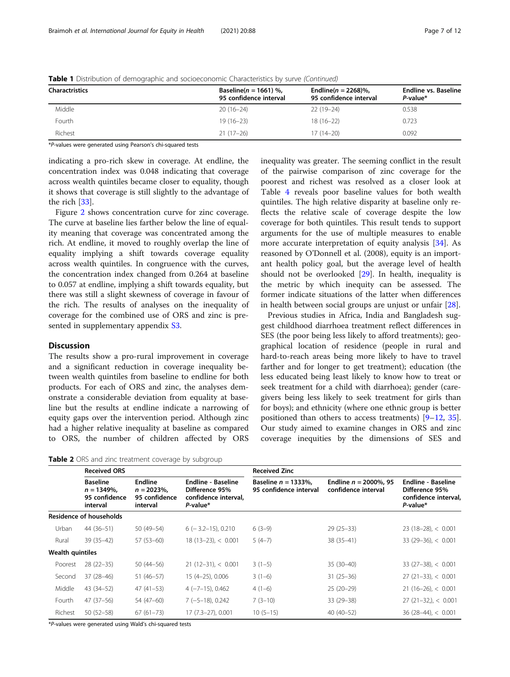| <b>Charactristics</b> | Baseline( $n = 1661$ ) %,<br>95 confidence interval | Endline( $n = 2268$ )%,<br>95 confidence interval | Endline vs. Baseline<br>P-value* |  |
|-----------------------|-----------------------------------------------------|---------------------------------------------------|----------------------------------|--|
| Middle                | $20(16-24)$                                         | 22 (19–24)                                        | 0.538                            |  |
| Fourth                | $19(16 - 23)$                                       | $18(16-22)$                                       | 0.723                            |  |
| Richest               | $21(17-26)$                                         | $17(14-20)$                                       | 0.092                            |  |

<span id="page-6-0"></span>Table 1 Distribution of demographic and socioeconomic Characteristics by surve (Continued)

\*P-values were generated using Pearson's chi-squared tests

indicating a pro-rich skew in coverage. At endline, the concentration index was 0.048 indicating that coverage across wealth quintiles became closer to equality, though it shows that coverage is still slightly to the advantage of the rich [[33](#page-10-0)].

Figure [2](#page-8-0) shows concentration curve for zinc coverage. The curve at baseline lies farther below the line of equality meaning that coverage was concentrated among the rich. At endline, it moved to roughly overlap the line of equality implying a shift towards coverage equality across wealth quintiles. In congruence with the curves, the concentration index changed from 0.264 at baseline to 0.057 at endline, implying a shift towards equality, but there was still a slight skewness of coverage in favour of the rich. The results of analyses on the inequality of coverage for the combined use of ORS and zinc is presented in supplementary appendix [S3](#page-9-0).

### **Discussion**

The results show a pro-rural improvement in coverage and a significant reduction in coverage inequality between wealth quintiles from baseline to endline for both products. For each of ORS and zinc, the analyses demonstrate a considerable deviation from equality at baseline but the results at endline indicate a narrowing of equity gaps over the intervention period. Although zinc had a higher relative inequality at baseline as compared to ORS, the number of children affected by ORS inequality was greater. The seeming conflict in the result of the pairwise comparison of zinc coverage for the poorest and richest was resolved as a closer look at Table [4](#page-7-0) reveals poor baseline values for both wealth quintiles. The high relative disparity at baseline only reflects the relative scale of coverage despite the low coverage for both quintiles. This result tends to support arguments for the use of multiple measures to enable more accurate interpretation of equity analysis [[34](#page-10-0)]. As reasoned by O'Donnell et al. (2008), equity is an important health policy goal, but the average level of health should not be overlooked [\[29](#page-10-0)]. In health, inequality is the metric by which inequity can be assessed. The former indicate situations of the latter when differences in health between social groups are unjust or unfair [[28\]](#page-10-0).

Previous studies in Africa, India and Bangladesh suggest childhood diarrhoea treatment reflect differences in SES (the poor being less likely to afford treatments); geographical location of residence (people in rural and hard-to-reach areas being more likely to have to travel farther and for longer to get treatment); education (the less educated being least likely to know how to treat or seek treatment for a child with diarrhoea); gender (caregivers being less likely to seek treatment for girls than for boys); and ethnicity (where one ethnic group is better positioned than others to access treatments) [[9](#page-10-0)–[12,](#page-10-0) [35](#page-10-0)]. Our study aimed to examine changes in ORS and zinc coverage inequities by the dimensions of SES and

Table 2 ORS and zinc treatment coverage by subgroup

|                         | <b>Received ORS</b>                                            |                                                      |                                                                                 | <b>Received Zinc</b>                              |                                                  |                                                                                 |  |
|-------------------------|----------------------------------------------------------------|------------------------------------------------------|---------------------------------------------------------------------------------|---------------------------------------------------|--------------------------------------------------|---------------------------------------------------------------------------------|--|
|                         | <b>Baseline</b><br>$n = 1349\%$ ,<br>95 confidence<br>interval | Endline<br>$n = 2023\%$<br>95 confidence<br>interval | <b>Endline - Baseline</b><br>Difference 95%<br>confidence interval,<br>P-value* | Baseline $n = 1333\%$ .<br>95 confidence interval | Endline $n = 2000\%$ , 95<br>confidence interval | <b>Endline - Baseline</b><br>Difference 95%<br>confidence interval,<br>P-value* |  |
|                         | <b>Residence of households</b>                                 |                                                      |                                                                                 |                                                   |                                                  |                                                                                 |  |
| Urban                   | $44(36-51)$                                                    | 50 (49-54)                                           | $6$ ( $-3.2-15$ ), 0.210                                                        | $6(3-9)$                                          | $29(25-33)$                                      | $23(18-28) < 0.001$                                                             |  |
| Rural                   | $39(35-42)$                                                    | $57(53-60)$                                          | $18(13-23) < 0.001$                                                             | $5(4-7)$                                          | $38(35-41)$                                      | $33(29-36)$ , < 0.001                                                           |  |
| <b>Wealth quintiles</b> |                                                                |                                                      |                                                                                 |                                                   |                                                  |                                                                                 |  |
| Poorest                 | $28(22-35)$                                                    | $50(44 - 56)$                                        | $21(12-31) < 0.001$                                                             | $3(1-5)$                                          | $35(30-40)$                                      | $33(27-38)$ , < 0.001                                                           |  |
| Second                  | $37(28-46)$                                                    | $51(46-57)$                                          | 15 (4-25), 0.006                                                                | $3(1-6)$                                          | $31(25-36)$                                      | $27(21-33), < 0.001$                                                            |  |
| Middle                  | 43 (34-52)                                                     | $47(41-53)$                                          | $4 (-7-15)$ , 0.462                                                             | $4(1-6)$                                          | $25(20-29)$                                      | $21(16-26)$ , < 0.001                                                           |  |
| Fourth                  | $47(37-56)$                                                    | 54 (47-60)                                           | $7(-5-18)$ , 0.242                                                              | $7(3-10)$                                         | 33 (29 - 38)                                     | $27(21-32)$ , < 0.001                                                           |  |
| Richest                 | $50(52 - 58)$                                                  | $67(61 - 73)$                                        | 17 (7.3-27), 0.001                                                              | $10(5-15)$                                        | $40(40-52)$                                      | $36(28-44) < 0.001$                                                             |  |

\*P-values were generated using Wald's chi-squared tests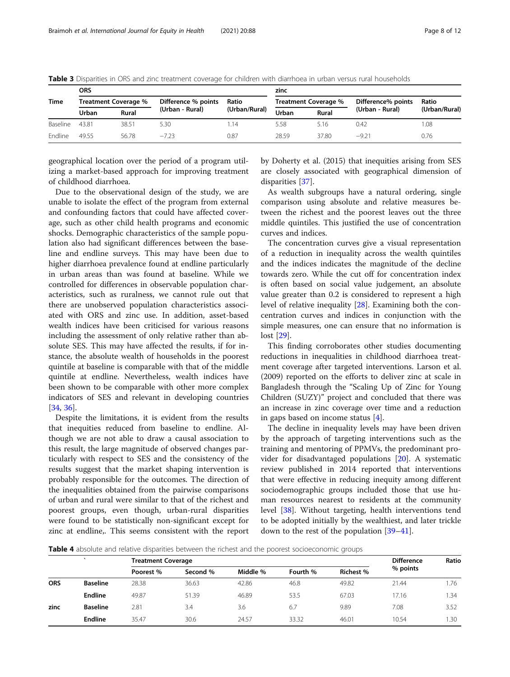|          | <b>ORS</b>           |              |                     |               | zinc                 |       |                    |               |
|----------|----------------------|--------------|---------------------|---------------|----------------------|-------|--------------------|---------------|
| Time     | Treatment Coverage % |              | Difference % points | Ratio         | Treatment Coverage % |       | Difference% points | Ratio         |
|          | Urban                | <b>Rural</b> | (Urban - Rural)     | (Urban/Rural) | Urban                | Rural | (Urban - Rural)    | (Urban/Rural) |
| Baseline | 4381                 | 38.51        | 5.30                | 1.14          | 5.58                 | 5.16  | 0.42               | 1.08          |
| Endline  | 49.55                | 56.78        | $-7.23$             | 0.87          | 28.59                | 37.80 | $-9.21$            | 0.76          |

<span id="page-7-0"></span>Table 3 Disparities in ORS and zinc treatment coverage for children with diarrhoea in urban versus rural households

geographical location over the period of a program utilizing a market-based approach for improving treatment of childhood diarrhoea.

Due to the observational design of the study, we are unable to isolate the effect of the program from external and confounding factors that could have affected coverage, such as other child health programs and economic shocks. Demographic characteristics of the sample population also had significant differences between the baseline and endline surveys. This may have been due to higher diarrhoea prevalence found at endline particularly in urban areas than was found at baseline. While we controlled for differences in observable population characteristics, such as ruralness, we cannot rule out that there are unobserved population characteristics associated with ORS and zinc use. In addition, asset-based wealth indices have been criticised for various reasons including the assessment of only relative rather than absolute SES. This may have affected the results, if for instance, the absolute wealth of households in the poorest quintile at baseline is comparable with that of the middle quintile at endline. Nevertheless, wealth indices have been shown to be comparable with other more complex indicators of SES and relevant in developing countries [[34,](#page-10-0) [36\]](#page-10-0).

Despite the limitations, it is evident from the results that inequities reduced from baseline to endline. Although we are not able to draw a causal association to this result, the large magnitude of observed changes particularly with respect to SES and the consistency of the results suggest that the market shaping intervention is probably responsible for the outcomes. The direction of the inequalities obtained from the pairwise comparisons of urban and rural were similar to that of the richest and poorest groups, even though, urban-rural disparities were found to be statistically non-significant except for zinc at endline,. This seems consistent with the report

by Doherty et al. (2015) that inequities arising from SES are closely associated with geographical dimension of disparities [\[37\]](#page-10-0).

As wealth subgroups have a natural ordering, single comparison using absolute and relative measures between the richest and the poorest leaves out the three middle quintiles. This justified the use of concentration curves and indices.

The concentration curves give a visual representation of a reduction in inequality across the wealth quintiles and the indices indicates the magnitude of the decline towards zero. While the cut off for concentration index is often based on social value judgement, an absolute value greater than 0.2 is considered to represent a high level of relative inequality [[28\]](#page-10-0). Examining both the concentration curves and indices in conjunction with the simple measures, one can ensure that no information is lost [\[29](#page-10-0)].

This finding corroborates other studies documenting reductions in inequalities in childhood diarrhoea treatment coverage after targeted interventions. Larson et al. (2009) reported on the efforts to deliver zinc at scale in Bangladesh through the "Scaling Up of Zinc for Young Children (SUZY)" project and concluded that there was an increase in zinc coverage over time and a reduction in gaps based on income status [[4\]](#page-10-0).

The decline in inequality levels may have been driven by the approach of targeting interventions such as the training and mentoring of PPMVs, the predominant provider for disadvantaged populations [[20](#page-10-0)]. A systematic review published in 2014 reported that interventions that were effective in reducing inequity among different sociodemographic groups included those that use human resources nearest to residents at the community level [[38\]](#page-10-0). Without targeting, health interventions tend to be adopted initially by the wealthiest, and later trickle down to the rest of the population [\[39](#page-10-0)–[41\]](#page-10-0).

Table 4 absolute and relative disparities between the richest and the poorest socioeconomic groups

|            | $\overline{\phantom{a}}$ | <b>Treatment Coverage</b> |          |          |          |                  | <b>Difference</b> | Ratio |
|------------|--------------------------|---------------------------|----------|----------|----------|------------------|-------------------|-------|
|            |                          | Poorest %                 | Second % | Middle % | Fourth % | <b>Richest %</b> | % points          |       |
| <b>ORS</b> | <b>Baseline</b>          | 28.38                     | 36.63    | 42.86    | 46.8     | 49.82            | 21.44             | 76.،  |
|            | Endline                  | 49.87                     | 51.39    | 46.89    | 53.5     | 67.03            | 17.16             | 1.34  |
| zinc       | <b>Baseline</b>          | 2.81                      | 3.4      | 3.6      | 6.7      | 9.89             | 7.08              | 3.52  |
|            | Endline                  | 35.47                     | 30.6     | 24.57    | 33.32    | 46.01            | 10.54             | 1.30  |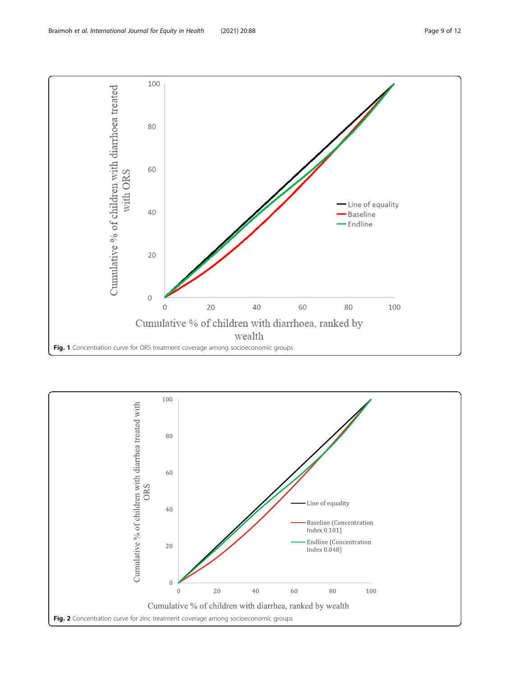<span id="page-8-0"></span>

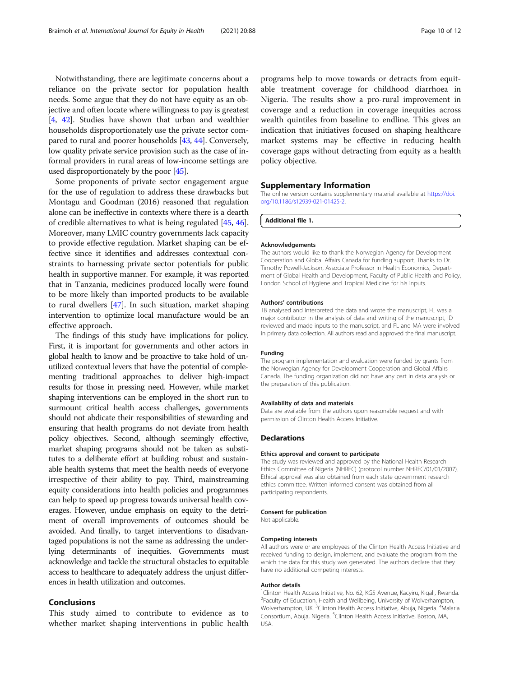<span id="page-9-0"></span>Notwithstanding, there are legitimate concerns about a reliance on the private sector for population health needs. Some argue that they do not have equity as an objective and often locate where willingness to pay is greatest [[4,](#page-10-0) [42\]](#page-10-0). Studies have shown that urban and wealthier households disproportionately use the private sector compared to rural and poorer households [\[43](#page-10-0), [44\]](#page-10-0). Conversely, low quality private service provision such as the case of informal providers in rural areas of low-income settings are used disproportionately by the poor [\[45\]](#page-11-0).

Some proponents of private sector engagement argue for the use of regulation to address these drawbacks but Montagu and Goodman (2016) reasoned that regulation alone can be ineffective in contexts where there is a dearth of credible alternatives to what is being regulated [\[45,](#page-11-0) [46](#page-11-0)]. Moreover, many LMIC country governments lack capacity to provide effective regulation. Market shaping can be effective since it identifies and addresses contextual constraints to harnessing private sector potentials for public health in supportive manner. For example, it was reported that in Tanzania, medicines produced locally were found to be more likely than imported products to be available to rural dwellers [\[47\]](#page-11-0). In such situation, market shaping intervention to optimize local manufacture would be an effective approach.

The findings of this study have implications for policy. First, it is important for governments and other actors in global health to know and be proactive to take hold of unutilized contextual levers that have the potential of complementing traditional approaches to deliver high-impact results for those in pressing need. However, while market shaping interventions can be employed in the short run to surmount critical health access challenges, governments should not abdicate their responsibilities of stewarding and ensuring that health programs do not deviate from health policy objectives. Second, although seemingly effective, market shaping programs should not be taken as substitutes to a deliberate effort at building robust and sustainable health systems that meet the health needs of everyone irrespective of their ability to pay. Third, mainstreaming equity considerations into health policies and programmes can help to speed up progress towards universal health coverages. However, undue emphasis on equity to the detriment of overall improvements of outcomes should be avoided. And finally, to target interventions to disadvantaged populations is not the same as addressing the underlying determinants of inequities. Governments must acknowledge and tackle the structural obstacles to equitable access to healthcare to adequately address the unjust differences in health utilization and outcomes.

### Conclusions

This study aimed to contribute to evidence as to whether market shaping interventions in public health

programs help to move towards or detracts from equitable treatment coverage for childhood diarrhoea in Nigeria. The results show a pro-rural improvement in coverage and a reduction in coverage inequities across wealth quintiles from baseline to endline. This gives an indication that initiatives focused on shaping healthcare market systems may be effective in reducing health coverage gaps without detracting from equity as a health policy objective.

### Supplementary Information

The online version contains supplementary material available at [https://doi.](https://doi.org/10.1186/s12939-021-01425-2) [org/10.1186/s12939-021-01425-2.](https://doi.org/10.1186/s12939-021-01425-2)

Additional file 1.

#### Acknowledgements

The authors would like to thank the Norwegian Agency for Development Cooperation and Global Affairs Canada for funding support. Thanks to Dr. Timothy Powell-Jackson, Associate Professor in Health Economics, Department of Global Health and Development, Faculty of Public Health and Policy, London School of Hygiene and Tropical Medicine for his inputs.

### Authors' contributions

TB analysed and interpreted the data and wrote the manuscript, FL was a major contributor in the analysis of data and writing of the manuscript, ID reviewed and made inputs to the manuscript, and FL and MA were involved in primary data collection. All authors read and approved the final manuscript.

### Funding

The program implementation and evaluation were funded by grants from the Norwegian Agency for Development Cooperation and Global Affairs Canada. The funding organization did not have any part in data analysis or the preparation of this publication.

### Availability of data and materials

Data are available from the authors upon reasonable request and with permission of Clinton Health Access Initiative.

### Declarations

### Ethics approval and consent to participate

The study was reviewed and approved by the National Health Research Ethics Committee of Nigeria (NHREC) (protocol number NHREC/01/01/2007). Ethical approval was also obtained from each state government research ethics committee. Written informed consent was obtained from all participating respondents.

### Consent for publication

Not applicable.

### Competing interests

All authors were or are employees of the Clinton Health Access Initiative and received funding to design, implement, and evaluate the program from the which the data for this study was generated. The authors declare that they have no additional competing interests.

#### Author details

<sup>1</sup> Clinton Health Access Initiative, No. 62, KG5 Avenue, Kacyiru, Kigali, Rwanda. <sup>2</sup> Faculty of Education, Health and Wellbeing, University of Wolverhampton, Wolverhampton, UK. <sup>3</sup>Clinton Health Access Initiative, Abuja, Nigeria. <sup>4</sup>Malaria Consortium, Abuja, Nigeria. <sup>5</sup>Clinton Health Access Initiative, Boston, MA, USA.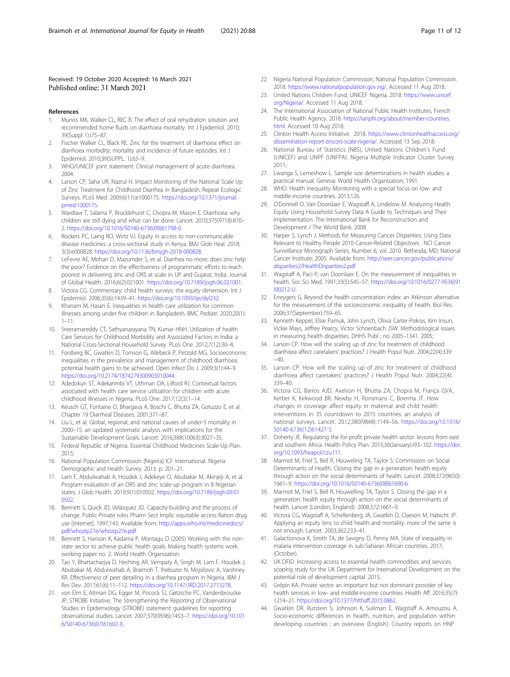### <span id="page-10-0"></span>Received: 19 October 2020 Accepted: 16 March 2021 Published online: 31 March 2021

### References

- 1. Munos MK, Walker CL, REC B. The effect of oral rehydration solution and recommended home fluids on diarrhoea mortality. Int J Epidemiol. 2010; 39(Suppl 1):i75–87.
- 2. Fischer Walker CL, Black RE. Zinc for the treatment of diarrhoea: effect on diarrhoea morbidity, mortality and incidence of future episodes. Int J Epidemiol. 2010;39(SUPPL. 1):63–9.
- WHO/UNICEF joint statement: Clinical management of acute diarrhoea. 2004.
- 4. Larson CP, Saha UR, Nazrul H. Impact Monitoring of the National Scale Up of Zinc Treatment for Childhood Diarrhea in Bangladesh: Repeat Ecologic Surveys. PLoS Med. 2009;6(11):e1000175. [https://doi.org/10.1371/journal.](https://doi.org/10.1371/journal.pmed.1000175) [pmed.1000175.](https://doi.org/10.1371/journal.pmed.1000175)
- 5. Wardlaw T, Salama P, Brocklehurst C, Chopra M, Mason E. Diarrhoea: why children are still dying and what can be done. Lancet. 2010;375(9718):870– 2. [https://doi.org/10.1016/S0140-6736\(09\)61798-0](https://doi.org/10.1016/S0140-6736(09)61798-0).
- 6. Rockers PC, Laing RO, Wirtz VJ. Equity in access to non-communicable disease medicines: a cross-sectional study in Kenya. BMJ Glob Heal. 2018; 3(3):e000828. [https://doi.org/10.1136/bmjgh-2018-000828.](https://doi.org/10.1136/bmjgh-2018-000828)
- LeFevre AE, Mohan D, Mazumder S, et al. Diarrhea no more: does zinc help the poor? Evidence on the effectiveness of programmatic efforts to reach poorest in delivering zinc and ORS at scale in UP and Gujarat, India. Journal of Global Health. 2016;6(2):021001. [https://doi.org/10.7189/jogh.06.021001.](https://doi.org/10.7189/jogh.06.021001)
- 8. Victora CG. Commentary: child health surveys: the equity dimension. Int J Epidemiol. 2006;35(6):1439–41. [https://doi.org/10.1093/ije/dyl232.](https://doi.org/10.1093/ije/dyl232)
- 9. Khanam M, Hasan E. Inequalities in health care utilization for common illnesses among under five children in Bangladesh. BMC Pediatr. 2020;20(1): 1–11.
- 10. Sreeramareddy CT, Sathyanarayana TN, Kumar HNH. Utilization of health Care Services for Childhood Morbidity and Associated Factors in India: a National Cross-Sectional Household Survey. PLoS One. 2012;7(12):30–4.
- 11. Forsberg BC, Gwatkin D, Tomson G, Allebeck P, Petzold MG. Socioeconomic inequalities in the prevalence and management of childhood diarrhoea: potential health gains to be achieved. Open Infect Dis J. 2009;3(1):44–9. [https://doi.org/10.2174/1874279300903010044.](https://doi.org/10.2174/1874279300903010044)
- 12. Adedokun ST, Adekanmbi VT, Uthman OA, Lilford RJ. Contextual factors associated with health care service utilization for children with acute childhood illnesses in Nigeria. PLoS One. 2017;12(3):1–14.
- 13. Keusch GT, Fontaine O, Bhargava A, Boschi C, Bhutta ZA, Gotuzzo E, et al. Chapter 19 Diarrheal Diseases. 2001;371–87.
- 14. Liu L, et al. Global, regional, and national causes of under-5 mortality in 2000–15: an updated systematic analysis with implications for the Sustainable Development Goals. Lancet. 2016;388(10063):3027–35.
- 15. Federal Republic of Nigeria. Essential Childhood Medicines Scale-Up Plan. 2015;
- 16. National Population Commission [Nigeria] ICF International. Nigeria Demographic and Health Survey. 2013. p. 201–21.
- 17. Lam F, Abdulwahab A, Houdek J, Adekeye O, Abubakar M, Akinjeji A, et al. Program evaluation of an ORS and zinc scale-up program in 8 Nigerian states. J Glob Health. 2019;9(1):010502. [https://doi.org/10.7189/jogh.09.01](https://doi.org/10.7189/jogh.09.010502) [0502](https://doi.org/10.7189/jogh.09.010502).
- 18. Bennett S, Quick JD, Velásquez JD. Capacity-building and the process of change. Public-Private roles Pharm Sect Implic equitable access Ration drug use [Internet]. 1997;143. Available from: [http://apps.who.int/medicinedocs/](http://apps.who.int/medicinedocs/pdf/whozip27e/whozip27e.pdf) [pdf/whozip27e/whozip27e.pdf](http://apps.who.int/medicinedocs/pdf/whozip27e/whozip27e.pdf)
- 19. Bennett S, Hanson K, Kadama P, Montagu D (2005) Working with the nonstate sector to achieve public health goals. Making health systems work: working paper no. 2. World Health Organization.
- 20. Tao Y, Bhattacharjya D, Heching AR, Vempaty A, Singh M, Lam F, Houdek J, Abubakar M, Abdulwahab A, Braimoh T, Ihebuzor N, Mojsilovic A, Varshney KR. Effectiveness of peer detailing in a diarrhea program in Nigeria. IBM J Res Dev. 2017;61(6):11–112. [https://doi.org/10.1147/JRD.2017.2713278.](https://doi.org/10.1147/JRD.2017.2713278)
- 21. von Elm E, Altman DG, Egger M, Pocock SJ, Gøtzsche PC, Vandenbroucke JP; STROBE Initiative. The Strengthening the Reporting of Observational Studies in Epidemiology (STROBE) statement: guidelines for reporting observational studies. Lancet. 2007;370(9596):1453–7. [https://doi.org/10.101](https://doi.org/10.1016/S0140-6736(07)61602-X) [6/S0140-6736\(07\)61602-X.](https://doi.org/10.1016/S0140-6736(07)61602-X)
- 22. Nigeria National Population Commission, National Population Commission. 2018. <https://www.nationalpopulation.gov.ng/>. Accessed 11 Aug 2018.
- 23. United Nations Children Fund, UNICEF Nigeria. 2018. [https://www.unicef.](https://www.unicef.org/Nigeria/) [org/Nigeria/](https://www.unicef.org/Nigeria/). Accessed 11 Aug 2018.
- 24. The International Association of National Public Health Institutes, French Public Health Agency. 2018. [https://ianphi.org/about/member-countries.](https://ianphi.org/about/member-countries.html) [html.](https://ianphi.org/about/member-countries.html) Accessed 10 Aug 2018.
- 25. Clinton Health Access Initiative. 2018. [https://www.clintonhealthaccess.org/](https://www.clintonhealthaccess.org/dissemination-report-zincors-scale-nigeria/) [dissemination-report-zincors-scale-nigeria/.](https://www.clintonhealthaccess.org/dissemination-report-zincors-scale-nigeria/) Accessed 13 Sep 2018.
- 26. National Bureau of Statistics (NBS), United Nations Children's Fund (UNICEF) and UNPF (UNFPA). Nigeria Multiple Indicator Cluster Survey. 2011;
- 27. Lwanga S, Lemeshow L. Sample size determinations in health studies: a practical manual. Geneva: World Health Organization; 1991.
- 28. WHO. Health Inequality Monitoring with a special focus on low- and middle-income countries. 2013;126.
- 29. O'Donnell O, Van Doorslaer E, Wagstaff A, Lindelow M. Analyzing Health Equity Using Household Survey Data A Guide to Techniques and Their Implementation. The International Bank for Reconstruction and Development / The World Bank. 2008.
- 30. Harper S, Lynch J. Methods for Measuring Cancer Disparities: Using Data Relevant to Healthy People 2010 Cancer-Related Objectives . NCI Cancer Surveillance Monograph Series, Number 6, vol. 2010. Bethesda, MD: National Cancer Institute; 2005. Available from: [http://seer.cancer.gov/publications/](http://seer.cancer.gov/publications/disparities2/HealthDisparities2.pdf) [disparities2/HealthDisparities2.pdf](http://seer.cancer.gov/publications/disparities2/HealthDisparities2.pdf)
- 31. Wagstaff A, Paci P, van Doorslaer E. On the measurement of inequalities in health. Soc Sci Med. 1991;33(5):545–57. [https://doi.org/10.1016/0277-9536\(91](https://doi.org/10.1016/0277-9536(91)90212-U) [\)90212-U](https://doi.org/10.1016/0277-9536(91)90212-U).
- 32. Erreygers G. Beyond the health concentration index: an Atkinson alternative for the measurement of the socioeconomic inequality of health. Biol Res. 2006;37(September):759–65.
- 33. Kenneth Keppel, Elsie Pamuk, John Lynch, Olivia Carter-Pokras, Kim Insun, Vickie Mays, Jeffrey Pearcy, Victor Schoenbach JSW. Methodological issues in measuring health disparities. DHHS Publ ; no 2005–1341. 2005;
- 34. Larson CP. How will the scaling up of zinc for treatment of childhood diarrhoea affect caretakers' practices? J Health Popul Nutr. 2004;22(4):339  $-40$
- 35. Larson CP. How will the scaling up of zinc for treatment of childhood diarrhoea affect caretakers' practices? J Health Popul Nutr. 2004;22(4): 339–40.
- 36. Victora CG, Barros AJD, Axelson H, Bhutta ZA, Chopra M, França GVA, Kerber K, Kirkwood BR, Newby H, Ronsmans C, Boerma JT. How changes in coverage affect equity in maternal and child health interventions in 35 countdown to 2015 countries: an analysis of national surveys. Lancet. 2012;380(9848):1149–56. [https://doi.org/10.1016/](https://doi.org/10.1016/S0140-6736(12)61427-5) [S0140-6736\(12\)61427-5](https://doi.org/10.1016/S0140-6736(12)61427-5).
- 37. Doherty JE. Regulating the for-profit private health sector: lessons from east and southern Africa. Health Policy Plan. 2015;30(January):i93–102. [https://doi.](https://doi.org/10.1093/heapol/czu111) [org/10.1093/heapol/czu111.](https://doi.org/10.1093/heapol/czu111)
- 38. Marmot M, Friel S, Bell R, Houweling TA, Taylor S; Commission on Social Determinants of Health. Closing the gap in a generation: health equity through action on the social determinants of health. Lancet. 2008;372(9650): 1661–9. [https://doi.org/10.1016/S0140-6736\(08\)61690-6.](https://doi.org/10.1016/S0140-6736(08)61690-6)
- 39. Marmot M, Friel S, Bell R, Houwelling TA, Taylor S. Closing the gap in a generation: health equity through action on the social determinants of health. Lancet (London, England). 2008;372:1661–9.
- 40. Victora CG, Wagstaff A, Schellenberg JA, Gwatkin D, Claeson M, Habicht JP. Applying an equity lens to child health and mortality: more of the same is not enough. Lancet. 2003;362:233–41.
- 41. Galactionova K, Smith TA, de Savigny D, Penny MA. State of inequality in malaria intervention coverage in sub-Saharan African countries. 2017; (October).
- 42. UK DFID. Increasing access to essential health commodities and services scoping study for the UK Department for International Development on the potential role of development capital. 2015.
- 43. Grépin KA. Private sector an important but not dominant provider of key health services in low- and middle-income countries. Health Aff. 2016;35(7): 1214–21. <https://doi.org/10.1377/hlthaff.2015.0862>.
- 44. Gwatkin DR, Rutstein S, Johnson K, Suliman E, Wagstaff A, Amouzou A. Socio-economic differences in health, nutrition, and population within developing countries : an overview (English). Country reports on HNP